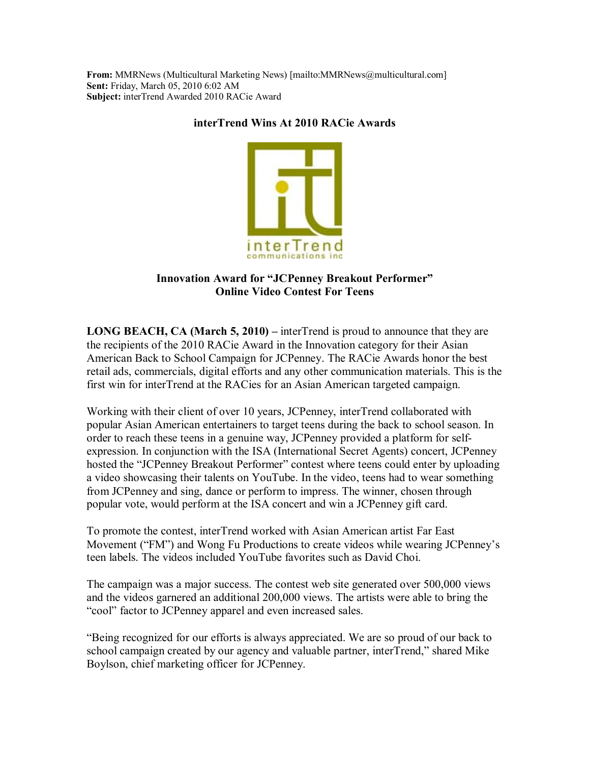**From:** MMRNews (Multicultural Marketing News) [mailto:MMRNews@multicultural.com] **Sent:** Friday, March 05, 2010 6:02 AM **Subject:** interTrend Awarded 2010 RACie Award

## **interTrend Wins At 2010 RACie Awards**



## **Innovation Award for "JCPenney Breakout Performer" Online Video Contest For Teens**

**LONG BEACH, CA (March 5, 2010)** – interTrend is proud to announce that they are the recipients of the 2010 RACie Award in the Innovation category for their Asian American Back to School Campaign for JCPenney. The RACie Awards honor the best retail ads, commercials, digital efforts and any other communication materials. This is the first win for interTrend at the RACies for an Asian American targeted campaign.

Working with their client of over 10 years, JCPenney, interTrend collaborated with popular Asian American entertainers to target teens during the back to school season. In order to reach these teens in a genuine way, JCPenney provided a platform for selfexpression. In conjunction with the ISA (International Secret Agents) concert, JCPenney hosted the "JCPenney Breakout Performer" contest where teens could enter by uploading a video showcasing their talents on YouTube. In the video, teens had to wear something from JCPenney and sing, dance or perform to impress. The winner, chosen through popular vote, would perform at the ISA concert and win a JCPenney gift card.

To promote the contest, interTrend worked with Asian American artist Far East Movement ("FM") and Wong Fu Productions to create videos while wearing JCPenney's teen labels. The videos included YouTube favorites such as David Choi.

The campaign was a major success. The contest web site generated over 500,000 views and the videos garnered an additional 200,000 views. The artists were able to bring the "cool" factor to JCPenney apparel and even increased sales.

ìBeing recognized for our efforts is always appreciated. We are so proud of our back to school campaign created by our agency and valuable partner, interTrend," shared Mike Boylson, chief marketing officer for JCPenney.